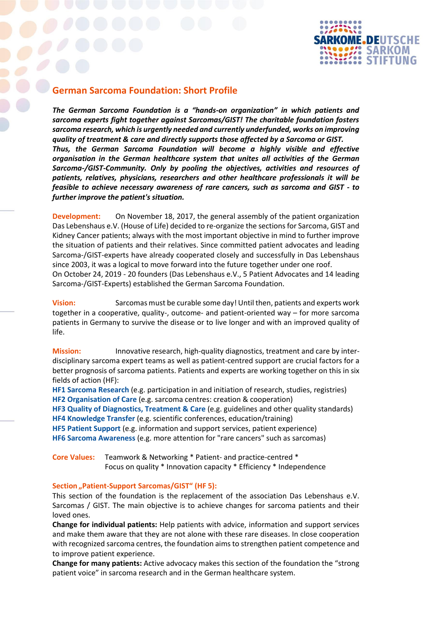

## **German Sarcoma Foundation: Short Profile**

*The German Sarcoma Foundation is a "hands-on organization" in which patients and sarcoma experts fight together against Sarcomas/GIST! The charitable foundation fosters sarcoma research, which is urgently needed and currently underfunded, works on improving quality of treatment & care and directly supports those affected by a Sarcoma or GIST. Thus, the German Sarcoma Foundation will become a highly visible and effective organisation in the German healthcare system that unites all activities of the German Sarcoma-/GIST-Community. Only by pooling the objectives, activities and resources of patients, relatives, physicians, researchers and other healthcare professionals it will be feasible to achieve necessary awareness of rare cancers, such as sarcoma and GIST - to further improve the patient's situation.*

**Development:** On November 18, 2017, the general assembly of the patient organization Das Lebenshaus e.V. (House of Life) decided to re-organize the sections for Sarcoma, GIST and Kidney Cancer patients; always with the most important objective in mind to further improve the situation of patients and their relatives. Since committed patient advocates and leading Sarcoma-/GIST-experts have already cooperated closely and successfully in Das Lebenshaus since 2003, it was a logical to move forward into the future together under one roof. On October 24, 2019 - 20 founders (Das Lebenshaus e.V., 5 Patient Advocates and 14 leading Sarcoma-/GIST-Experts) established the German Sarcoma Foundation.

**Vision:** Sarcomas must be curable some day! Until then, patients and experts work together in a cooperative, quality-, outcome- and patient-oriented way – for more sarcoma patients in Germany to survive the disease or to live longer and with an improved quality of life.

**Mission:** Innovative research, high-quality diagnostics, treatment and care by interdisciplinary sarcoma expert teams as well as patient-centred support are crucial factors for a better prognosis of sarcoma patients. Patients and experts are working together on this in six fields of action (HF):

**HF1 Sarcoma Research** (e.g. participation in and initiation of research, studies, registries) **HF2 Organisation of Care** (e.g. sarcoma centres: creation & cooperation) **HF3 Quality of Diagnostics, Treatment & Care** (e.g. guidelines and other quality standards) **HF4 Knowledge Transfer** (e.g. scientific conferences, education/training) **HF5 Patient Support** (e.g. information and support services, patient experience) **HF6 Sarcoma Awareness** (e.g. more attention for "rare cancers" such as sarcomas)

**Core Values:** Teamwork & Networking \* Patient- and practice-centred \* Focus on quality \* Innovation capacity \* Efficiency \* Independence

## **Section "Patient-Support Sarcomas/GIST" (HF 5):**

This section of the foundation is the replacement of the association Das Lebenshaus e.V. Sarcomas / GIST. The main objective is to achieve changes for sarcoma patients and their loved ones.

**Change for individual patients:** Help patients with advice, information and support services and make them aware that they are not alone with these rare diseases. In close cooperation with recognized sarcoma centres, the foundation aims to strengthen patient competence and to improve patient experience.

**Change for many patients:** Active advocacy makes this section of the foundation the "strong patient voice" in sarcoma research and in the German healthcare system.